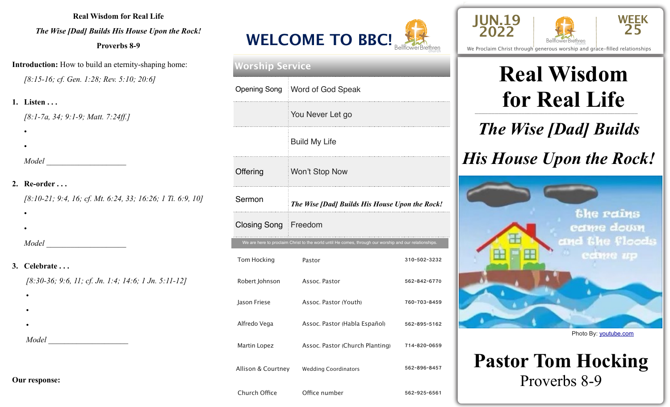**Real Wisdom for Real Life** 

*The Wise [Dad] Builds His House Upon the Rock!* 

**Proverbs 8-9** 

**Introduction:** How to build an eternity-shaping home: *[8:15-16; cf. Gen. 1:28; Rev. 5:10; 20:6]* 

**1. Listen . . .** *[8:1-7a, 34; 9:1-9; Matt. 7:24ff.]*

 • *Model* \_\_\_\_\_\_\_\_\_\_\_\_\_\_\_\_\_\_\_\_

#### **2. Re-order . . .**

•

•

•

*[8:10-21; 9:4, 16; cf. Mt. 6:24, 33; 16:26; 1 Ti. 6:9, 10]*

*Model* \_\_\_\_\_\_\_\_\_\_\_\_\_\_\_\_\_\_\_\_

#### **3. Celebrate . . .**

*[8:30-36; 9:6, 11; cf. Jn. 1:4; 14:6; 1 Jn. 5:11-12]*

- •
- •

•

*Model* \_\_\_\_\_\_\_\_\_\_\_\_\_\_\_\_\_\_\_\_

| <b>WELCOME TO BBC!</b> |                      |
|------------------------|----------------------|
|                        | We Proclaim Christ 1 |

| <b>Worship Service</b>      |                                                                                                       |              |  |  |
|-----------------------------|-------------------------------------------------------------------------------------------------------|--------------|--|--|
| <b>Opening Song</b>         | <b>Word of God Speak</b>                                                                              |              |  |  |
|                             | You Never Let go                                                                                      |              |  |  |
|                             | <b>Build My Life</b>                                                                                  |              |  |  |
| Offering                    | Won't Stop Now                                                                                        |              |  |  |
| Sermon                      | The Wise [Dad] Builds His House Upon the Rock!                                                        |              |  |  |
| <b>Closing Song Freedom</b> |                                                                                                       |              |  |  |
|                             | We are here to proclaim Christ to the world until He comes, through our worship and our relationships |              |  |  |
| Tom Hocking                 | Pastor                                                                                                | 310-502-3232 |  |  |
| Robert Johnson              | Assoc. Pastor                                                                                         | 562-842-6770 |  |  |
| Jason Friese                | Assoc. Pastor (Youth)                                                                                 | 760-703-8459 |  |  |
| Alfredo Vega                |                                                                                                       |              |  |  |
|                             | Assoc. Pastor (Habla Español)                                                                         | 562-895-5162 |  |  |
| Martin Lopez                | Assoc. Pastor (Church Planting)                                                                       | 714-820-0659 |  |  |
| Allison & Courtney          | <b>Wedding Coordinators</b>                                                                           | 562-896-8457 |  |  |



**AND** 



We Proclaim Christ through generous worship and grace-filled relationships

#### \_\_\_\_\_\_\_\_\_\_\_\_\_\_\_\_\_\_\_\_\_\_\_\_\_\_\_\_\_\_\_\_\_\_\_\_\_\_\_\_\_\_\_\_\_\_\_\_\_ **Real Wisdom for Real Life**

*The Wise [Dad] Builds* 

### *His House Upon the Rock!*



Photo By: [youtube.com](http://youtube.com)

### **Pastor Tom Hocking**  Proverbs 8-9

**Our response:**